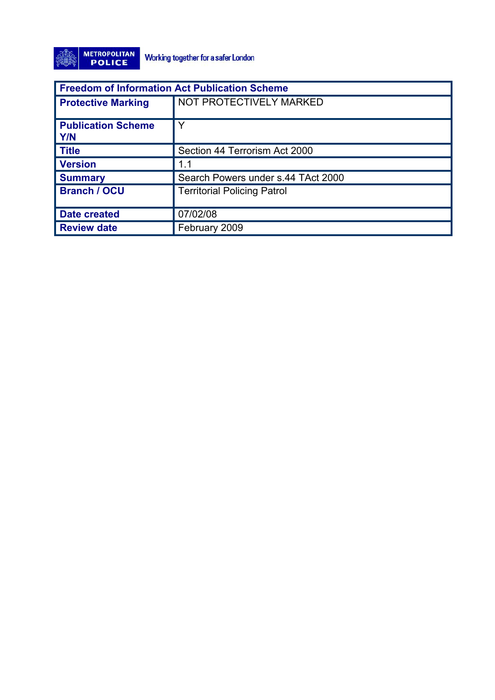

| <b>Freedom of Information Act Publication Scheme</b> |                                    |
|------------------------------------------------------|------------------------------------|
| <b>Protective Marking</b>                            | NOT PROTECTIVELY MARKED            |
| <b>Publication Scheme</b><br><b>Y/N</b>              | Y                                  |
| <b>Title</b>                                         | Section 44 Terrorism Act 2000      |
| <b>Version</b>                                       | 1.1                                |
| <b>Summary</b>                                       | Search Powers under s.44 TAct 2000 |
| <b>Branch / OCU</b>                                  | <b>Territorial Policing Patrol</b> |
| <b>Date created</b>                                  | 07/02/08                           |
| <b>Review date</b>                                   | February 2009                      |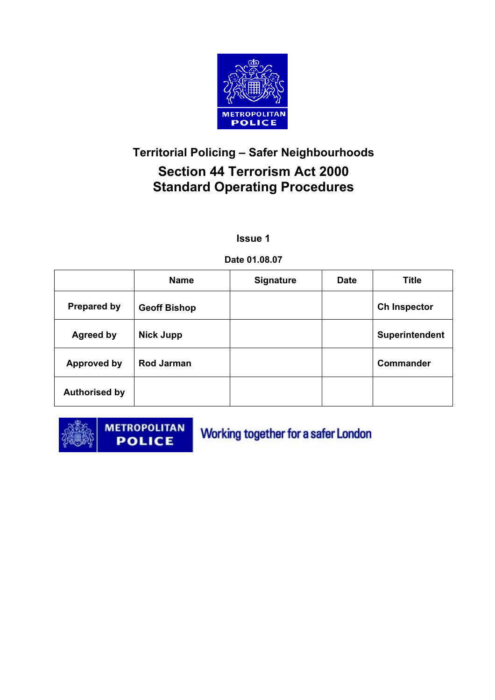

## **Territorial Policing – Safer Neighbourhoods Section 44 Terrorism Act 2000 Standard Operating Procedures**

#### **Issue 1**

#### **Date 01.08.07**

|                      | <b>Name</b>         | <b>Signature</b> | <b>Date</b> | <b>Title</b>          |
|----------------------|---------------------|------------------|-------------|-----------------------|
| <b>Prepared by</b>   | <b>Geoff Bishop</b> |                  |             | <b>Ch Inspector</b>   |
| <b>Agreed by</b>     | <b>Nick Jupp</b>    |                  |             | <b>Superintendent</b> |
| <b>Approved by</b>   | <b>Rod Jarman</b>   |                  |             | <b>Commander</b>      |
| <b>Authorised by</b> |                     |                  |             |                       |



**METROPOLITAN POLICE** 

Working together for a safer London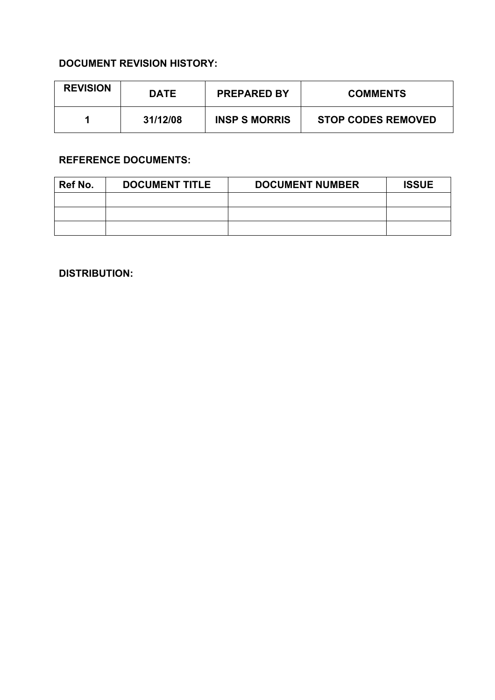#### **DOCUMENT REVISION HISTORY:**

| <b>REVISION</b> | <b>DATE</b> | <b>PREPARED BY</b>   | <b>COMMENTS</b>           |
|-----------------|-------------|----------------------|---------------------------|
|                 | 31/12/08    | <b>INSP S MORRIS</b> | <b>STOP CODES REMOVED</b> |

#### **REFERENCE DOCUMENTS:**

| Ref No. | <b>DOCUMENT TITLE</b> | <b>DOCUMENT NUMBER</b> | <b>ISSUE</b> |
|---------|-----------------------|------------------------|--------------|
|         |                       |                        |              |
|         |                       |                        |              |
|         |                       |                        |              |

**DISTRIBUTION:**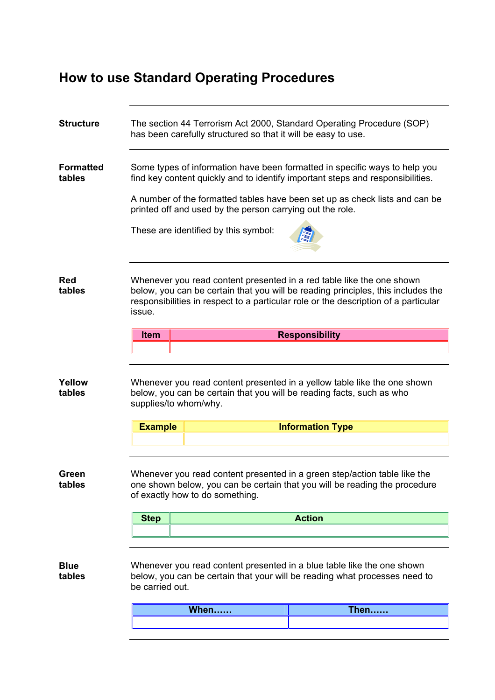# **How to use Standard Operating Procedures**

| <b>Structure</b>           |                                                                                                                                                                                                                                                                                                                                                  | has been carefully structured so that it will be easy to use. | The section 44 Terrorism Act 2000, Standard Operating Procedure (SOP)                                                                                                                                                                            |
|----------------------------|--------------------------------------------------------------------------------------------------------------------------------------------------------------------------------------------------------------------------------------------------------------------------------------------------------------------------------------------------|---------------------------------------------------------------|--------------------------------------------------------------------------------------------------------------------------------------------------------------------------------------------------------------------------------------------------|
| <b>Formatted</b><br>tables | Some types of information have been formatted in specific ways to help you<br>find key content quickly and to identify important steps and responsibilities.<br>A number of the formatted tables have been set up as check lists and can be<br>printed off and used by the person carrying out the role.<br>These are identified by this symbol: |                                                               |                                                                                                                                                                                                                                                  |
| <b>Red</b><br>tables       | issue.                                                                                                                                                                                                                                                                                                                                           |                                                               | Whenever you read content presented in a red table like the one shown<br>below, you can be certain that you will be reading principles, this includes the<br>responsibilities in respect to a particular role or the description of a particular |
|                            | <b>Item</b>                                                                                                                                                                                                                                                                                                                                      |                                                               | <b>Responsibility</b>                                                                                                                                                                                                                            |
|                            |                                                                                                                                                                                                                                                                                                                                                  |                                                               |                                                                                                                                                                                                                                                  |
| Yellow<br>tables           | supplies/to whom/why.                                                                                                                                                                                                                                                                                                                            |                                                               | Whenever you read content presented in a yellow table like the one shown<br>below, you can be certain that you will be reading facts, such as who                                                                                                |
|                            | <b>Example</b>                                                                                                                                                                                                                                                                                                                                   |                                                               | <b>Information Type</b>                                                                                                                                                                                                                          |
|                            |                                                                                                                                                                                                                                                                                                                                                  |                                                               |                                                                                                                                                                                                                                                  |
| Green<br>tables            |                                                                                                                                                                                                                                                                                                                                                  | of exactly how to do something.                               | Whenever you read content presented in a green step/action table like the<br>one shown below, you can be certain that you will be reading the procedure                                                                                          |
|                            | <b>Step</b>                                                                                                                                                                                                                                                                                                                                      |                                                               |                                                                                                                                                                                                                                                  |
|                            |                                                                                                                                                                                                                                                                                                                                                  |                                                               | <b>Action</b>                                                                                                                                                                                                                                    |
|                            |                                                                                                                                                                                                                                                                                                                                                  |                                                               |                                                                                                                                                                                                                                                  |
| <b>Blue</b><br>tables      | be carried out.                                                                                                                                                                                                                                                                                                                                  |                                                               | Whenever you read content presented in a blue table like the one shown<br>below, you can be certain that your will be reading what processes need to                                                                                             |
|                            |                                                                                                                                                                                                                                                                                                                                                  | When                                                          | <b>Then</b>                                                                                                                                                                                                                                      |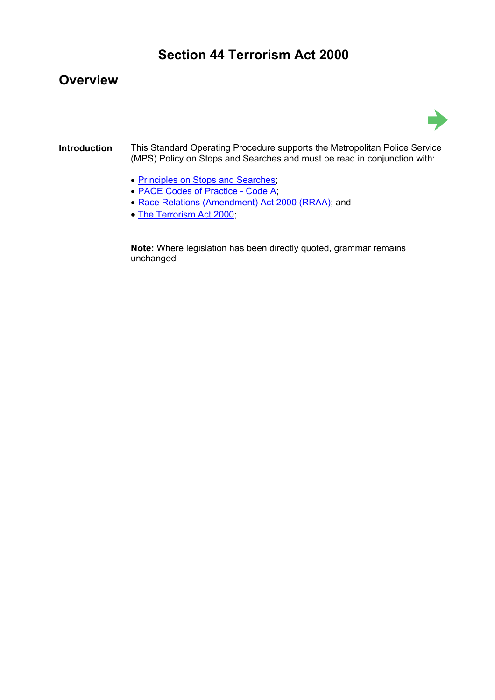### **Section 44 Terrorism Act 2000**

#### **Overview**



#### **Introduction** This Standard Operating Procedure supports the Metropolitan Police Service (MPS) Policy on Stops and Searches and must be read in conjunction with:

- Principles on Stops and Searches;
- PACE Codes of Practice Code A;
- Race Relations (Amendment) Act 2000 (RRAA); and
- The Terrorism Act 2000;

**Note:** Where legislation has been directly quoted, grammar remains unchanged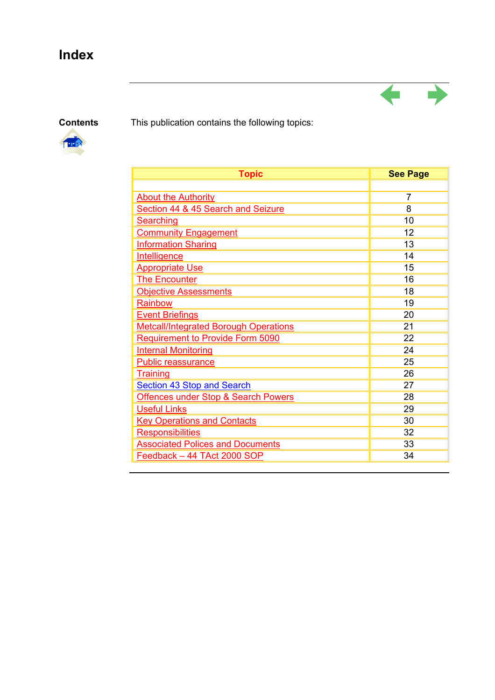# **Index**

**Contents** This publication contains the following topics:



| <b>Topic</b>                                   | <b>See Page</b> |
|------------------------------------------------|-----------------|
|                                                |                 |
| <b>About the Authority</b>                     | 7               |
| Section 44 & 45 Search and Seizure             | 8               |
| <b>Searching</b>                               | 10              |
| <b>Community Engagement</b>                    | 12              |
| <b>Information Sharing</b>                     | 13              |
| <b>Intelligence</b>                            | 14              |
| <b>Appropriate Use</b>                         | 15              |
| <b>The Encounter</b>                           | 16              |
| <b>Objective Assessments</b>                   | 18              |
| Rainbow                                        | 19              |
| <b>Event Briefings</b>                         | 20              |
| <b>Metcall/Integrated Borough Operations</b>   | 21              |
| Requirement to Provide Form 5090               | 22              |
| <b>Internal Monitoring</b>                     | 24              |
| Public reassurance                             | 25              |
| <b>Training</b>                                | 26              |
| <b>Section 43 Stop and Search</b>              | 27              |
| <b>Offences under Stop &amp; Search Powers</b> | 28              |
| <b>Useful Links</b>                            | 29              |
| <b>Key Operations and Contacts</b>             | 30              |
| <b>Responsibilities</b>                        | 32              |
| <b>Associated Polices and Documents</b>        | 33              |
| Feedback - 44 TAct 2000 SOP                    | 34              |

 $\leftarrow$ 

٢T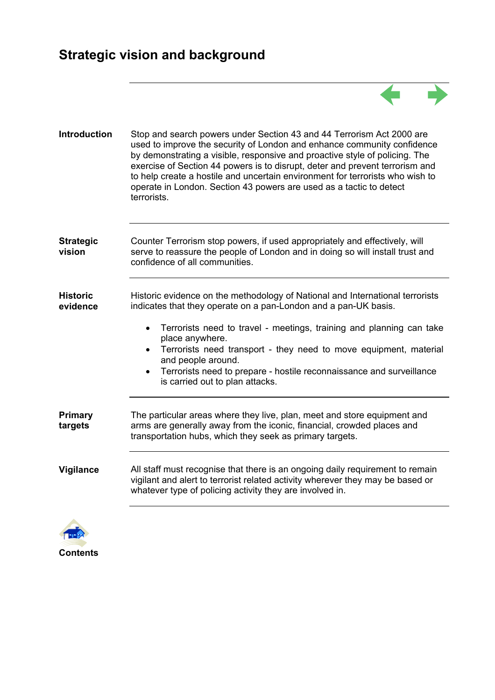# **Strategic vision and background**



| <b>Introduction</b>         | Stop and search powers under Section 43 and 44 Terrorism Act 2000 are<br>used to improve the security of London and enhance community confidence<br>by demonstrating a visible, responsive and proactive style of policing. The<br>exercise of Section 44 powers is to disrupt, deter and prevent terrorism and<br>to help create a hostile and uncertain environment for terrorists who wish to<br>operate in London. Section 43 powers are used as a tactic to detect<br>terrorists. |
|-----------------------------|----------------------------------------------------------------------------------------------------------------------------------------------------------------------------------------------------------------------------------------------------------------------------------------------------------------------------------------------------------------------------------------------------------------------------------------------------------------------------------------|
| <b>Strategic</b><br>vision  | Counter Terrorism stop powers, if used appropriately and effectively, will<br>serve to reassure the people of London and in doing so will install trust and<br>confidence of all communities.                                                                                                                                                                                                                                                                                          |
| <b>Historic</b><br>evidence | Historic evidence on the methodology of National and International terrorists<br>indicates that they operate on a pan-London and a pan-UK basis.<br>Terrorists need to travel - meetings, training and planning can take<br>place anywhere.<br>Terrorists need transport - they need to move equipment, material<br>and people around.<br>Terrorists need to prepare - hostile reconnaissance and surveillance<br>is carried out to plan attacks.                                      |
| Primary<br>targets          | The particular areas where they live, plan, meet and store equipment and<br>arms are generally away from the iconic, financial, crowded places and<br>transportation hubs, which they seek as primary targets.                                                                                                                                                                                                                                                                         |
| Vigilance                   | All staff must recognise that there is an ongoing daily requirement to remain<br>vigilant and alert to terrorist related activity wherever they may be based or<br>whatever type of policing activity they are involved in.                                                                                                                                                                                                                                                            |
|                             |                                                                                                                                                                                                                                                                                                                                                                                                                                                                                        |

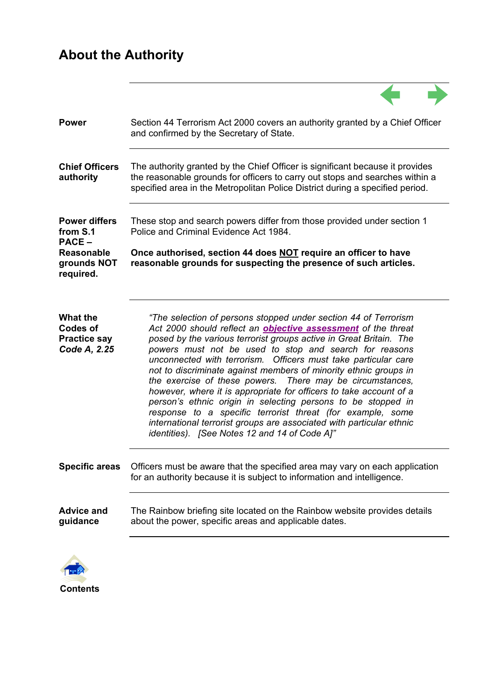# **About the Authority**

| <b>Power</b>                                                              | Section 44 Terrorism Act 2000 covers an authority granted by a Chief Officer<br>and confirmed by the Secretary of State.                                                                                                                                                                                                                                                                                                                                                                                                                                                                                                                                                                                                                                                                                |
|---------------------------------------------------------------------------|---------------------------------------------------------------------------------------------------------------------------------------------------------------------------------------------------------------------------------------------------------------------------------------------------------------------------------------------------------------------------------------------------------------------------------------------------------------------------------------------------------------------------------------------------------------------------------------------------------------------------------------------------------------------------------------------------------------------------------------------------------------------------------------------------------|
| <b>Chief Officers</b><br>authority                                        | The authority granted by the Chief Officer is significant because it provides<br>the reasonable grounds for officers to carry out stops and searches within a<br>specified area in the Metropolitan Police District during a specified period.                                                                                                                                                                                                                                                                                                                                                                                                                                                                                                                                                          |
| <b>Power differs</b><br>from S.1<br><b>PACE -</b>                         | These stop and search powers differ from those provided under section 1<br>Police and Criminal Evidence Act 1984.                                                                                                                                                                                                                                                                                                                                                                                                                                                                                                                                                                                                                                                                                       |
| <b>Reasonable</b><br>grounds NOT<br>required.                             | Once authorised, section 44 does NOT require an officer to have<br>reasonable grounds for suspecting the presence of such articles.                                                                                                                                                                                                                                                                                                                                                                                                                                                                                                                                                                                                                                                                     |
| <b>What the</b><br><b>Codes of</b><br><b>Practice say</b><br>Code A, 2.25 | "The selection of persons stopped under section 44 of Terrorism<br>Act 2000 should reflect an <b>objective assessment</b> of the threat<br>posed by the various terrorist groups active in Great Britain. The<br>powers must not be used to stop and search for reasons<br>unconnected with terrorism. Officers must take particular care<br>not to discriminate against members of minority ethnic groups in<br>the exercise of these powers. There may be circumstances,<br>however, where it is appropriate for officers to take account of a<br>person's ethnic origin in selecting persons to be stopped in<br>response to a specific terrorist threat (for example, some<br>international terrorist groups are associated with particular ethnic<br>identities). [See Notes 12 and 14 of Code A]" |
| <b>Specific areas</b>                                                     | Officers must be aware that the specified area may vary on each application<br>for an authority because it is subject to information and intelligence.                                                                                                                                                                                                                                                                                                                                                                                                                                                                                                                                                                                                                                                  |
| <b>Advice and</b><br>guidance                                             | The Rainbow briefing site located on the Rainbow website provides details<br>about the power, specific areas and applicable dates.                                                                                                                                                                                                                                                                                                                                                                                                                                                                                                                                                                                                                                                                      |
|                                                                           |                                                                                                                                                                                                                                                                                                                                                                                                                                                                                                                                                                                                                                                                                                                                                                                                         |

 $\sqrt{2}$ 

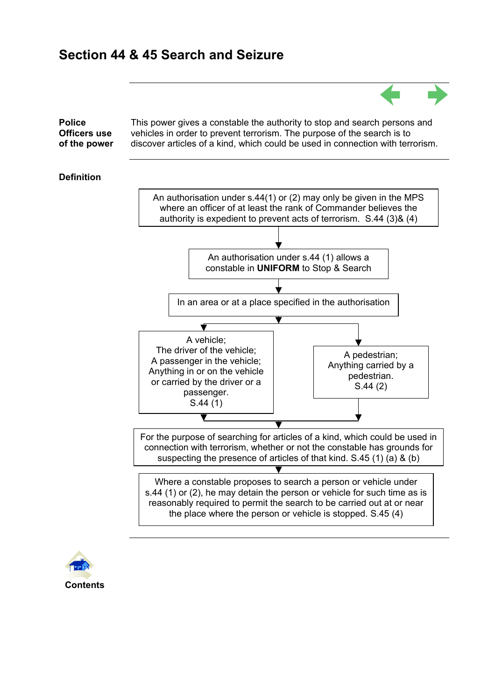

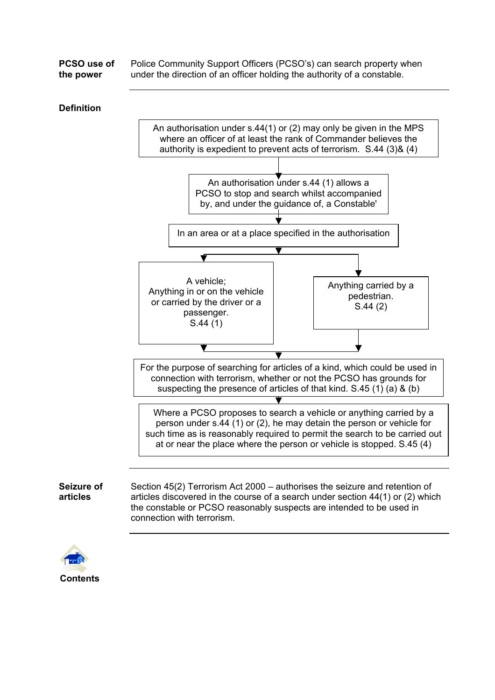| PCSO use of | Police Community Support Officers (PCSO's) can search property when     |
|-------------|-------------------------------------------------------------------------|
| the power   | under the direction of an officer holding the authority of a constable. |

#### **Definition**



articles discovered in the course of a search under section 44(1) or (2) which the constable or PCSO reasonably suspects are intended to be used in connection with terrorism.



**Seizure of articles**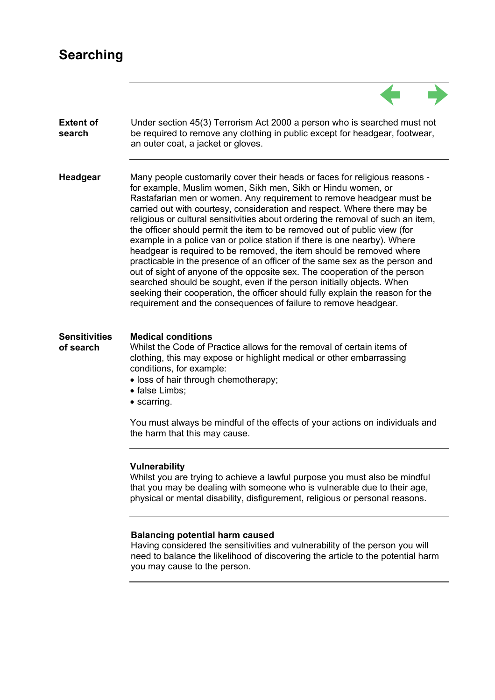### **Searching**



#### **Balancing potential harm caused**

Having considered the sensitivities and vulnerability of the person you will need to balance the likelihood of discovering the article to the potential harm you may cause to the person.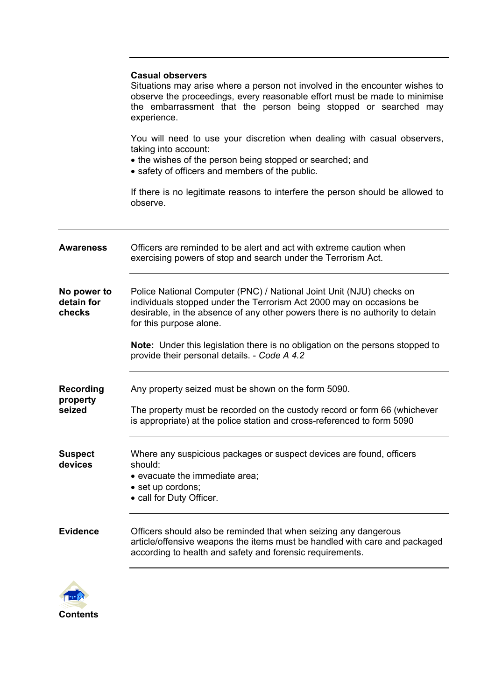|                                     | <b>Casual observers</b><br>Situations may arise where a person not involved in the encounter wishes to<br>observe the proceedings, every reasonable effort must be made to minimise<br>the embarrassment that the person being stopped or searched may<br>experience.                                                                                                                     |
|-------------------------------------|-------------------------------------------------------------------------------------------------------------------------------------------------------------------------------------------------------------------------------------------------------------------------------------------------------------------------------------------------------------------------------------------|
|                                     | You will need to use your discretion when dealing with casual observers,<br>taking into account:<br>• the wishes of the person being stopped or searched; and<br>• safety of officers and members of the public.                                                                                                                                                                          |
|                                     | If there is no legitimate reasons to interfere the person should be allowed to<br>observe.                                                                                                                                                                                                                                                                                                |
| <b>Awareness</b>                    | Officers are reminded to be alert and act with extreme caution when<br>exercising powers of stop and search under the Terrorism Act.                                                                                                                                                                                                                                                      |
| No power to<br>detain for<br>checks | Police National Computer (PNC) / National Joint Unit (NJU) checks on<br>individuals stopped under the Terrorism Act 2000 may on occasions be<br>desirable, in the absence of any other powers there is no authority to detain<br>for this purpose alone.<br>Note: Under this legislation there is no obligation on the persons stopped to<br>provide their personal details. - Code A 4.2 |
|                                     |                                                                                                                                                                                                                                                                                                                                                                                           |
| <b>Recording</b><br>property        | Any property seized must be shown on the form 5090.                                                                                                                                                                                                                                                                                                                                       |
| seized                              | The property must be recorded on the custody record or form 66 (whichever<br>is appropriate) at the police station and cross-referenced to form 5090                                                                                                                                                                                                                                      |
| <b>Suspect</b><br>devices           | Where any suspicious packages or suspect devices are found, officers<br>should:<br>• evacuate the immediate area;<br>• set up cordons;<br>• call for Duty Officer.                                                                                                                                                                                                                        |
| <b>Evidence</b>                     | Officers should also be reminded that when seizing any dangerous<br>article/offensive weapons the items must be handled with care and packaged<br>according to health and safety and forensic requirements.                                                                                                                                                                               |

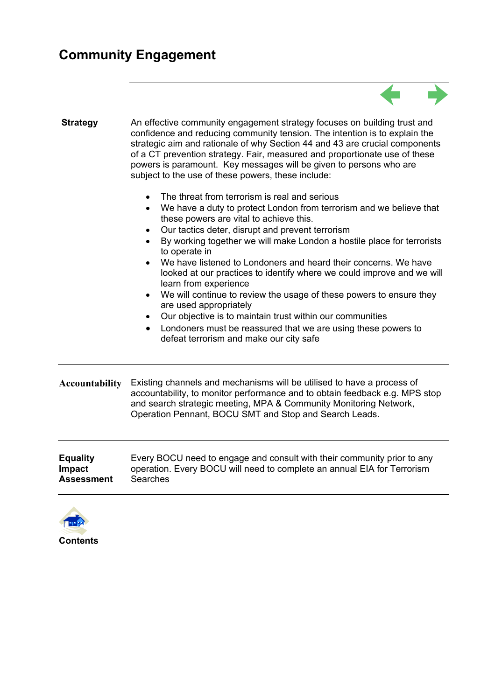### **Community Engagement**





**Contents**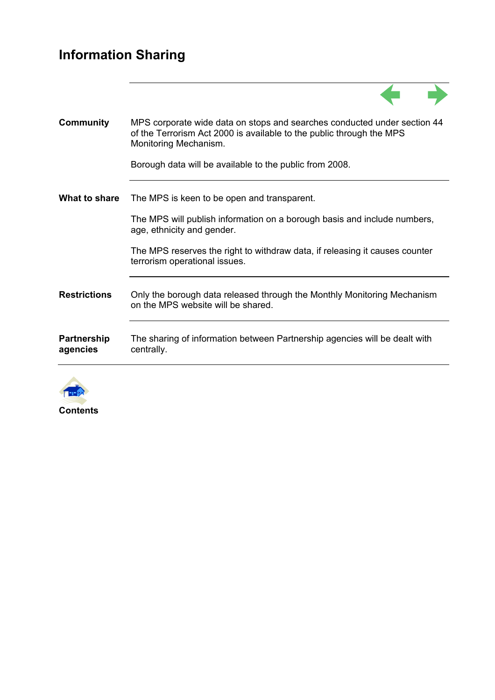#### **Information Sharing**





**Contents**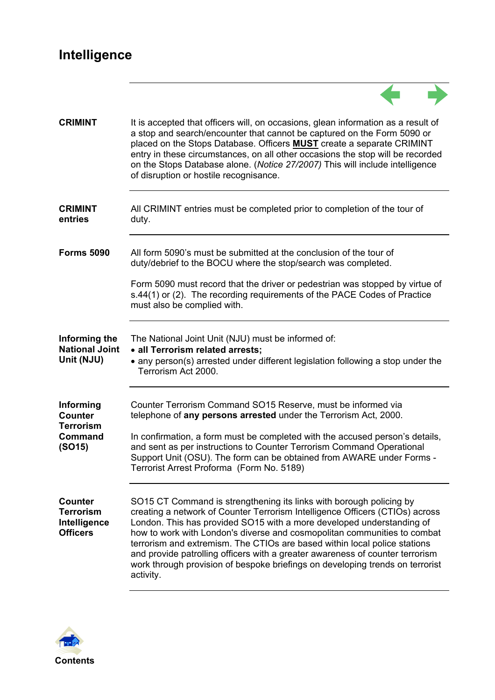# **Intelligence**

| <b>CRIMINT</b>                                                        | It is accepted that officers will, on occasions, glean information as a result of<br>a stop and search/encounter that cannot be captured on the Form 5090 or<br>placed on the Stops Database. Officers <b>MUST</b> create a separate CRIMINT<br>entry in these circumstances, on all other occasions the stop will be recorded<br>on the Stops Database alone. (Notice 27/2007) This will include intelligence<br>of disruption or hostile recognisance.                                                                                                             |
|-----------------------------------------------------------------------|----------------------------------------------------------------------------------------------------------------------------------------------------------------------------------------------------------------------------------------------------------------------------------------------------------------------------------------------------------------------------------------------------------------------------------------------------------------------------------------------------------------------------------------------------------------------|
| <b>CRIMINT</b><br>entries                                             | All CRIMINT entries must be completed prior to completion of the tour of<br>duty.                                                                                                                                                                                                                                                                                                                                                                                                                                                                                    |
| <b>Forms 5090</b>                                                     | All form 5090's must be submitted at the conclusion of the tour of<br>duty/debrief to the BOCU where the stop/search was completed.                                                                                                                                                                                                                                                                                                                                                                                                                                  |
|                                                                       | Form 5090 must record that the driver or pedestrian was stopped by virtue of<br>s.44(1) or (2). The recording requirements of the PACE Codes of Practice<br>must also be complied with.                                                                                                                                                                                                                                                                                                                                                                              |
| Informing the<br><b>National Joint</b><br>Unit (NJU)                  | The National Joint Unit (NJU) must be informed of:<br>· all Terrorism related arrests;<br>• any person(s) arrested under different legislation following a stop under the<br>Terrorism Act 2000.                                                                                                                                                                                                                                                                                                                                                                     |
| Informing<br><b>Counter</b>                                           | Counter Terrorism Command SO15 Reserve, must be informed via<br>telephone of any persons arrested under the Terrorism Act, 2000.                                                                                                                                                                                                                                                                                                                                                                                                                                     |
| <b>Terrorism</b><br>Command<br>(SO15)                                 | In confirmation, a form must be completed with the accused person's details,<br>and sent as per instructions to Counter Terrorism Command Operational<br>Support Unit (OSU). The form can be obtained from AWARE under Forms -<br>Terrorist Arrest Proforma (Form No. 5189)                                                                                                                                                                                                                                                                                          |
| <b>Counter</b><br><b>Terrorism</b><br>Intelligence<br><b>Officers</b> | SO15 CT Command is strengthening its links with borough policing by<br>creating a network of Counter Terrorism Intelligence Officers (CTIOs) across<br>London. This has provided SO15 with a more developed understanding of<br>how to work with London's diverse and cosmopolitan communities to combat<br>terrorism and extremism. The CTIOs are based within local police stations<br>and provide patrolling officers with a greater awareness of counter terrorism<br>work through provision of bespoke briefings on developing trends on terrorist<br>activity. |

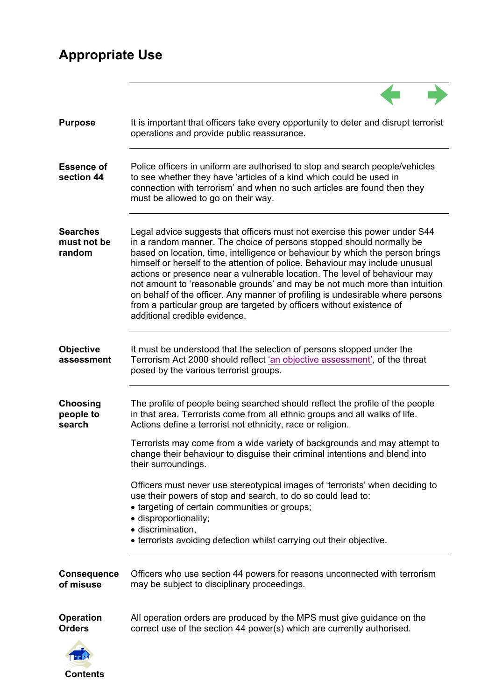# **Appropriate Use**

| <b>Purpose</b>                           | It is important that officers take every opportunity to deter and disrupt terrorist<br>operations and provide public reassurance.                                                                                                                                                                                                                                                                                                                                                                                                                                                                                                                                           |
|------------------------------------------|-----------------------------------------------------------------------------------------------------------------------------------------------------------------------------------------------------------------------------------------------------------------------------------------------------------------------------------------------------------------------------------------------------------------------------------------------------------------------------------------------------------------------------------------------------------------------------------------------------------------------------------------------------------------------------|
| <b>Essence of</b><br>section 44          | Police officers in uniform are authorised to stop and search people/vehicles<br>to see whether they have 'articles of a kind which could be used in<br>connection with terrorism' and when no such articles are found then they<br>must be allowed to go on their way.                                                                                                                                                                                                                                                                                                                                                                                                      |
| <b>Searches</b><br>must not be<br>random | Legal advice suggests that officers must not exercise this power under S44<br>in a random manner. The choice of persons stopped should normally be<br>based on location, time, intelligence or behaviour by which the person brings<br>himself or herself to the attention of police. Behaviour may include unusual<br>actions or presence near a vulnerable location. The level of behaviour may<br>not amount to 'reasonable grounds' and may be not much more than intuition<br>on behalf of the officer. Any manner of profiling is undesirable where persons<br>from a particular group are targeted by officers without existence of<br>additional credible evidence. |
| <b>Objective</b><br>assessment           | It must be understood that the selection of persons stopped under the<br>Terrorism Act 2000 should reflect 'an objective assessment', of the threat<br>posed by the various terrorist groups.                                                                                                                                                                                                                                                                                                                                                                                                                                                                               |
| <b>Choosing</b><br>people to<br>search   | The profile of people being searched should reflect the profile of the people<br>in that area. Terrorists come from all ethnic groups and all walks of life.<br>Actions define a terrorist not ethnicity, race or religion.                                                                                                                                                                                                                                                                                                                                                                                                                                                 |
|                                          | Terrorists may come from a wide variety of backgrounds and may attempt to<br>change their behaviour to disguise their criminal intentions and blend into<br>their surroundings.                                                                                                                                                                                                                                                                                                                                                                                                                                                                                             |
|                                          | Officers must never use stereotypical images of 'terrorists' when deciding to<br>use their powers of stop and search, to do so could lead to:<br>• targeting of certain communities or groups;<br>· disproportionality;<br>· discrimination,                                                                                                                                                                                                                                                                                                                                                                                                                                |
|                                          | • terrorists avoiding detection whilst carrying out their objective.                                                                                                                                                                                                                                                                                                                                                                                                                                                                                                                                                                                                        |
| <b>Consequence</b><br>of misuse          | Officers who use section 44 powers for reasons unconnected with terrorism<br>may be subject to disciplinary proceedings.                                                                                                                                                                                                                                                                                                                                                                                                                                                                                                                                                    |
| <b>Operation</b><br><b>Orders</b>        | All operation orders are produced by the MPS must give guidance on the<br>correct use of the section 44 power(s) which are currently authorised.                                                                                                                                                                                                                                                                                                                                                                                                                                                                                                                            |
| <b>Contents</b>                          |                                                                                                                                                                                                                                                                                                                                                                                                                                                                                                                                                                                                                                                                             |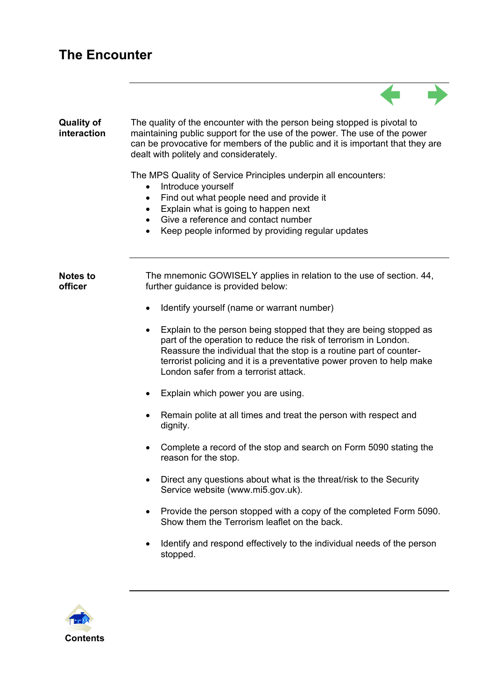## **The Encounter**

| <b>Quality of</b><br>interaction | The quality of the encounter with the person being stopped is pivotal to<br>maintaining public support for the use of the power. The use of the power<br>can be provocative for members of the public and it is important that they are<br>dealt with politely and considerately.                                               |
|----------------------------------|---------------------------------------------------------------------------------------------------------------------------------------------------------------------------------------------------------------------------------------------------------------------------------------------------------------------------------|
|                                  | The MPS Quality of Service Principles underpin all encounters:<br>Introduce yourself<br>$\bullet$<br>Find out what people need and provide it<br>٠<br>Explain what is going to happen next<br>$\bullet$<br>Give a reference and contact number<br>Keep people informed by providing regular updates                             |
| <b>Notes to</b><br>officer       | The mnemonic GOWISELY applies in relation to the use of section. 44,<br>further guidance is provided below:                                                                                                                                                                                                                     |
|                                  | Identify yourself (name or warrant number)<br>$\bullet$                                                                                                                                                                                                                                                                         |
|                                  | Explain to the person being stopped that they are being stopped as<br>part of the operation to reduce the risk of terrorism in London.<br>Reassure the individual that the stop is a routine part of counter-<br>terrorist policing and it is a preventative power proven to help make<br>London safer from a terrorist attack. |
|                                  | Explain which power you are using.                                                                                                                                                                                                                                                                                              |
|                                  | Remain polite at all times and treat the person with respect and<br>dignity.                                                                                                                                                                                                                                                    |
|                                  | Complete a record of the stop and search on Form 5090 stating the<br>reason for the stop.                                                                                                                                                                                                                                       |
|                                  | Direct any questions about what is the threat/risk to the Security<br>Service website (www.mi5.gov.uk).                                                                                                                                                                                                                         |
|                                  | Provide the person stopped with a copy of the completed Form 5090.<br>Show them the Terrorism leaflet on the back.                                                                                                                                                                                                              |
|                                  | Identify and respond effectively to the individual needs of the person<br>stopped.                                                                                                                                                                                                                                              |
|                                  |                                                                                                                                                                                                                                                                                                                                 |

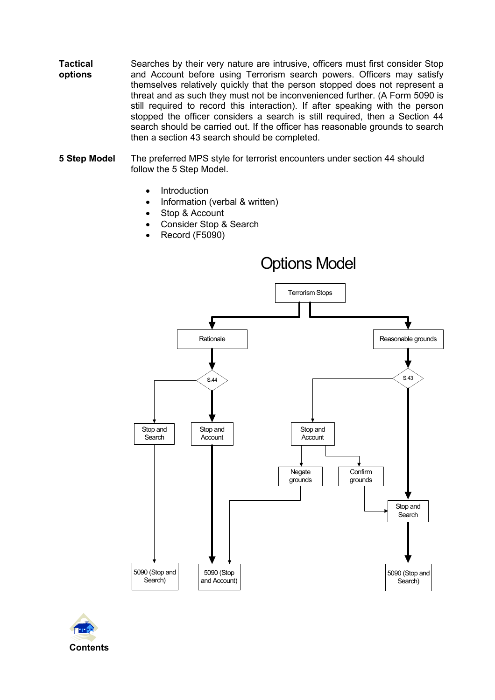- **Tactical options**  Searches by their very nature are intrusive, officers must first consider Stop and Account before using Terrorism search powers. Officers may satisfy themselves relatively quickly that the person stopped does not represent a threat and as such they must not be inconvenienced further. (A Form 5090 is still required to record this interaction). If after speaking with the person stopped the officer considers a search is still required, then a Section 44 search should be carried out. If the officer has reasonable grounds to search then a section 43 search should be completed.
- **5 Step Model** The preferred MPS style for terrorist encounters under section 44 should follow the 5 Step Model.
	- **Introduction**
	- Information (verbal & written)
	- Stop & Account
	- Consider Stop & Search
	- Record (F5090)



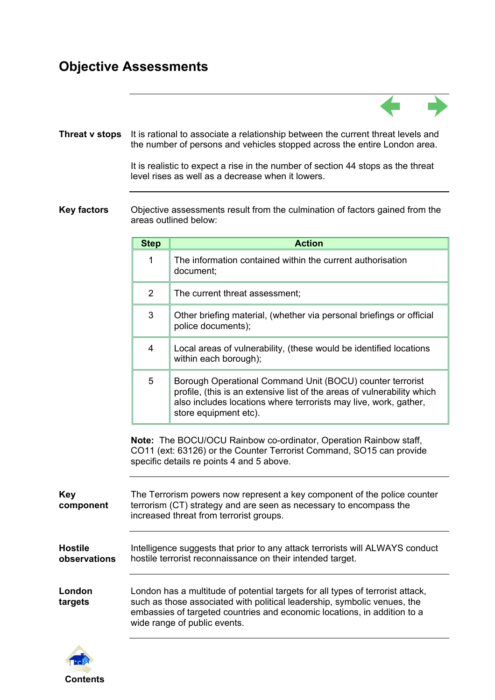#### **Objective Assessments**



**Threat v stops** It is rational to associate a relationship between the current threat levels and the number of persons and vehicles stopped across the entire London area.

> It is realistic to expect a rise in the number of section 44 stops as the threat level rises as well as a decrease when it lowers.

**Key factors** Objective assessments result from the culmination of factors gained from the areas outlined below:

|                                | <b>Step</b>                                                                                                                                                                                                                                                            | <b>Action</b>                                                                                                                                                                                                                     |
|--------------------------------|------------------------------------------------------------------------------------------------------------------------------------------------------------------------------------------------------------------------------------------------------------------------|-----------------------------------------------------------------------------------------------------------------------------------------------------------------------------------------------------------------------------------|
|                                | $\mathbf{1}$                                                                                                                                                                                                                                                           | The information contained within the current authorisation<br>document:                                                                                                                                                           |
|                                | $\overline{2}$                                                                                                                                                                                                                                                         | The current threat assessment;                                                                                                                                                                                                    |
|                                | 3                                                                                                                                                                                                                                                                      | Other briefing material, (whether via personal briefings or official<br>police documents);                                                                                                                                        |
|                                | $\overline{4}$                                                                                                                                                                                                                                                         | Local areas of vulnerability, (these would be identified locations<br>within each borough);                                                                                                                                       |
|                                | 5                                                                                                                                                                                                                                                                      | Borough Operational Command Unit (BOCU) counter terrorist<br>profile, (this is an extensive list of the areas of vulnerability which<br>also includes locations where terrorists may live, work, gather,<br>store equipment etc). |
|                                |                                                                                                                                                                                                                                                                        | Note: The BOCU/OCU Rainbow co-ordinator, Operation Rainbow staff,<br>CO11 (ext: 63126) or the Counter Terrorist Command, SO15 can provide<br>specific details re points 4 and 5 above.                                            |
| <b>Key</b><br>component        | The Terrorism powers now represent a key component of the police counter<br>terrorism (CT) strategy and are seen as necessary to encompass the<br>increased threat from terrorist groups.                                                                              |                                                                                                                                                                                                                                   |
| <b>Hostile</b><br>observations | Intelligence suggests that prior to any attack terrorists will ALWAYS conduct<br>hostile terrorist reconnaissance on their intended target.                                                                                                                            |                                                                                                                                                                                                                                   |
| London<br>targets              | London has a multitude of potential targets for all types of terrorist attack,<br>such as those associated with political leadership, symbolic venues, the<br>embassies of targeted countries and economic locations, in addition to a<br>wide range of public events. |                                                                                                                                                                                                                                   |

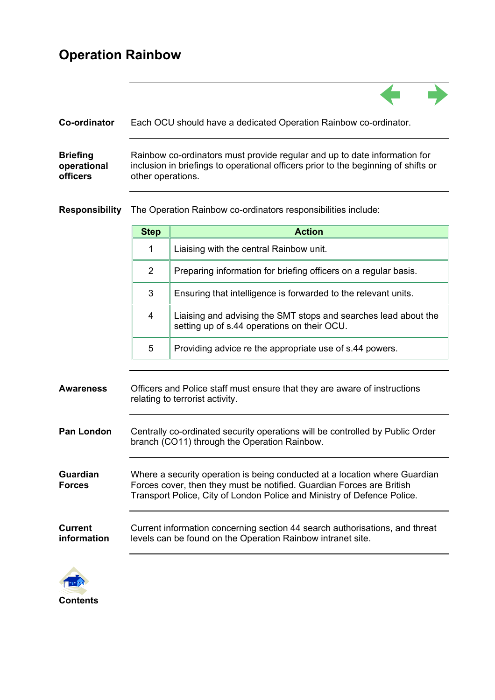## **Operation Rainbow**

| Co-ordinator    | Each OCU should have a dedicated Operation Rainbow co-ordinator.                   |
|-----------------|------------------------------------------------------------------------------------|
| <b>Briefing</b> | Rainbow co-ordinators must provide regular and up to date information for          |
| operational     | inclusion in briefings to operational officers prior to the beginning of shifts or |
| <b>officers</b> | other operations.                                                                  |

**Responsibility** The Operation Rainbow co-ordinators responsibilities include:

|            | <b>Step</b>                                                                                                  | <b>Action</b>                                                                                                                 |
|------------|--------------------------------------------------------------------------------------------------------------|-------------------------------------------------------------------------------------------------------------------------------|
|            |                                                                                                              | Liaising with the central Rainbow unit.                                                                                       |
|            | $\overline{2}$                                                                                               | Preparing information for briefing officers on a regular basis.                                                               |
|            | 3                                                                                                            | Ensuring that intelligence is forwarded to the relevant units.                                                                |
|            | 4                                                                                                            | Liaising and advising the SMT stops and searches lead about the<br>setting up of s.44 operations on their OCU.                |
|            | 5                                                                                                            | Providing advice re the appropriate use of s.44 powers.                                                                       |
|            |                                                                                                              |                                                                                                                               |
| Awareness  | Officers and Police staff must ensure that they are aware of instructions<br>relating to terrorist activity. |                                                                                                                               |
| Pan London |                                                                                                              | Centrally co-ordinated security operations will be controlled by Public Order<br>branch (CO11) through the Operation Rainbow. |

**Guardian Forces**  Where a security operation is being conducted at a location where Guardian Forces cover, then they must be notified. Guardian Forces are British Transport Police, City of London Police and Ministry of Defence Police.

| <b>Current</b> | Current information concerning section 44 search authorisations, and threat |
|----------------|-----------------------------------------------------------------------------|
| information    | levels can be found on the Operation Rainbow intranet site.                 |

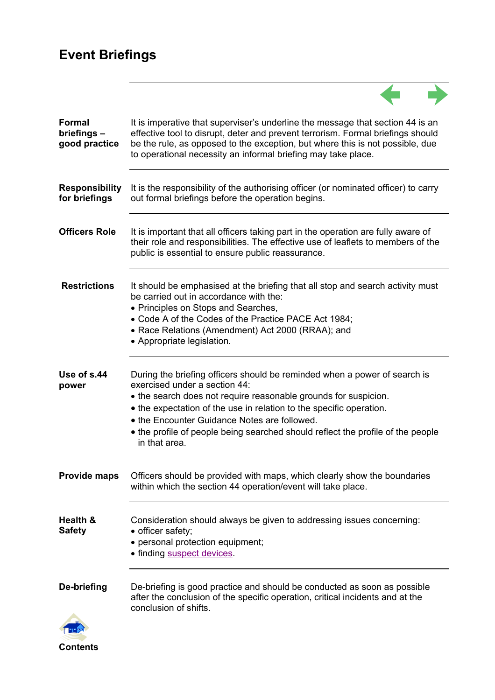# **Event Briefings**

| <b>Formal</b><br>briefings-<br>good practice | It is imperative that superviser's underline the message that section 44 is an<br>effective tool to disrupt, deter and prevent terrorism. Formal briefings should<br>be the rule, as opposed to the exception, but where this is not possible, due<br>to operational necessity an informal briefing may take place.                                                                                      |
|----------------------------------------------|----------------------------------------------------------------------------------------------------------------------------------------------------------------------------------------------------------------------------------------------------------------------------------------------------------------------------------------------------------------------------------------------------------|
| <b>Responsibility</b><br>for briefings       | It is the responsibility of the authorising officer (or nominated officer) to carry<br>out formal briefings before the operation begins.                                                                                                                                                                                                                                                                 |
| <b>Officers Role</b>                         | It is important that all officers taking part in the operation are fully aware of<br>their role and responsibilities. The effective use of leaflets to members of the<br>public is essential to ensure public reassurance.                                                                                                                                                                               |
| <b>Restrictions</b>                          | It should be emphasised at the briefing that all stop and search activity must<br>be carried out in accordance with the:<br>• Principles on Stops and Searches,<br>• Code A of the Codes of the Practice PACE Act 1984;<br>• Race Relations (Amendment) Act 2000 (RRAA); and<br>• Appropriate legislation.                                                                                               |
| Use of s.44<br>power                         | During the briefing officers should be reminded when a power of search is<br>exercised under a section 44:<br>• the search does not require reasonable grounds for suspicion.<br>• the expectation of the use in relation to the specific operation.<br>• the Encounter Guidance Notes are followed.<br>• the profile of people being searched should reflect the profile of the people<br>in that area. |
| <b>Provide maps</b>                          | Officers should be provided with maps, which clearly show the boundaries<br>within which the section 44 operation/event will take place.                                                                                                                                                                                                                                                                 |
| Health &<br><b>Safety</b>                    | Consideration should always be given to addressing issues concerning:<br>• officer safety;<br>• personal protection equipment;<br>• finding suspect devices.                                                                                                                                                                                                                                             |
| De-briefing                                  | De-briefing is good practice and should be conducted as soon as possible<br>after the conclusion of the specific operation, critical incidents and at the<br>conclusion of shifts.                                                                                                                                                                                                                       |

 $\overline{a}$ 

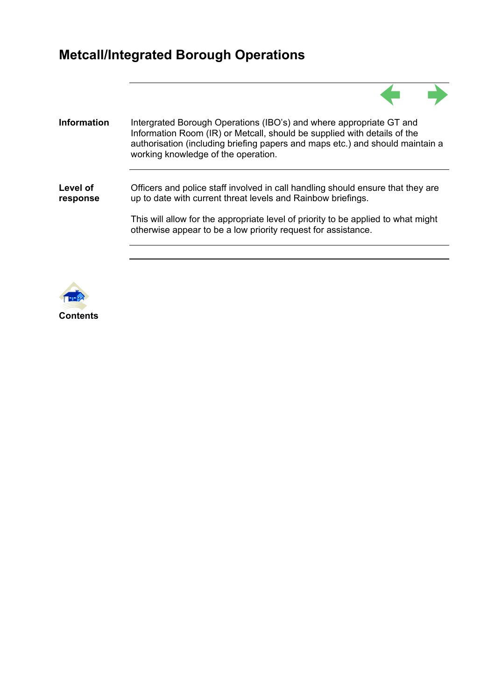# **Metcall/Integrated Borough Operations**

| <b>Information</b>   | Intergrated Borough Operations (IBO's) and where appropriate GT and<br>Information Room (IR) or Metcall, should be supplied with details of the<br>authorisation (including briefing papers and maps etc.) and should maintain a<br>working knowledge of the operation. |
|----------------------|-------------------------------------------------------------------------------------------------------------------------------------------------------------------------------------------------------------------------------------------------------------------------|
| Level of<br>response | Officers and police staff involved in call handling should ensure that they are<br>up to date with current threat levels and Rainbow briefings.                                                                                                                         |
|                      | This will allow for the appropriate level of priority to be applied to what might<br>otherwise appear to be a low priority request for assistance.                                                                                                                      |
|                      |                                                                                                                                                                                                                                                                         |

 $\blacktriangle$ 

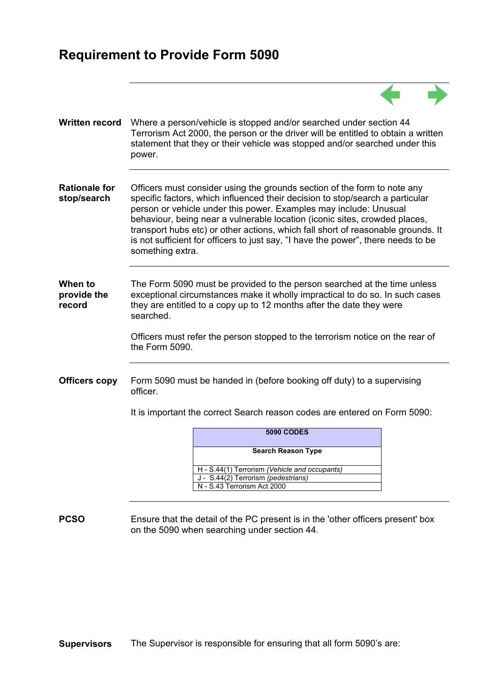## **Requirement to Provide Form 5090**

| <b>Written record</b>               | Where a person/vehicle is stopped and/or searched under section 44<br>Terrorism Act 2000, the person or the driver will be entitled to obtain a written<br>statement that they or their vehicle was stopped and/or searched under this<br>power.                                                                                                                                                                                                                                                          |
|-------------------------------------|-----------------------------------------------------------------------------------------------------------------------------------------------------------------------------------------------------------------------------------------------------------------------------------------------------------------------------------------------------------------------------------------------------------------------------------------------------------------------------------------------------------|
| <b>Rationale for</b><br>stop/search | Officers must consider using the grounds section of the form to note any<br>specific factors, which influenced their decision to stop/search a particular<br>person or vehicle under this power. Examples may include: Unusual<br>behaviour, being near a vulnerable location (iconic sites, crowded places,<br>transport hubs etc) or other actions, which fall short of reasonable grounds. It<br>is not sufficient for officers to just say, "I have the power", there needs to be<br>something extra. |
| When to<br>provide the<br>record    | The Form 5090 must be provided to the person searched at the time unless<br>exceptional circumstances make it wholly impractical to do so. In such cases<br>they are entitled to a copy up to 12 months after the date they were<br>searched.<br>Officers must refer the person stopped to the terrorism notice on the rear of<br>the Form $5090$ .                                                                                                                                                       |
| <b>Officers copy</b>                | Form 5090 must be handed in (before booking off duty) to a supervising<br>officer.<br>It is important the correct Search reason codes are entered on Form 5090:<br><b>5090 CODES</b><br><b>Search Reason Type</b><br>H - S.44(1) Terrorism (Vehicle and occupants)<br>J - S.44(2) Terrorism (pedestrians)                                                                                                                                                                                                 |
|                                     | N - S.43 Terrorism Act 2000                                                                                                                                                                                                                                                                                                                                                                                                                                                                               |

 $\blacktriangle$ 

**PCSO** Ensure that the detail of the PC present is in the 'other officers present' box on the 5090 when searching under section 44.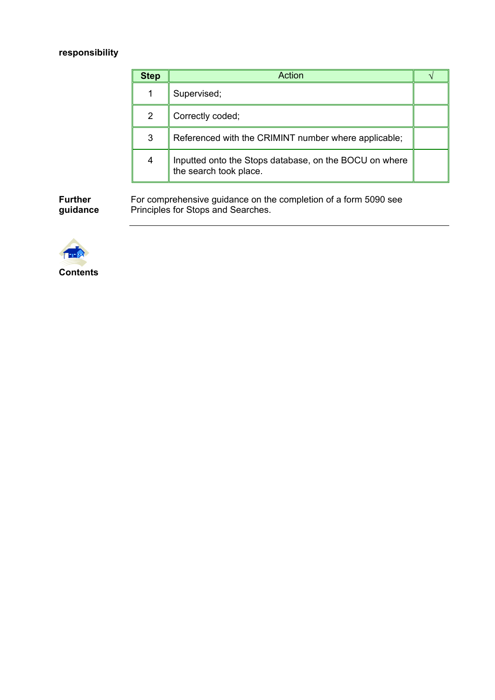#### **responsibility**

| <b>Step</b> | Action                                                                           |  |
|-------------|----------------------------------------------------------------------------------|--|
|             | Supervised;                                                                      |  |
| 2           | Correctly coded;                                                                 |  |
| 3           | Referenced with the CRIMINT number where applicable;                             |  |
| 4           | Inputted onto the Stops database, on the BOCU on where<br>the search took place. |  |

**Further guidance** 

For comprehensive guidance on the completion of a form 5090 see Principles for Stops and Searches.

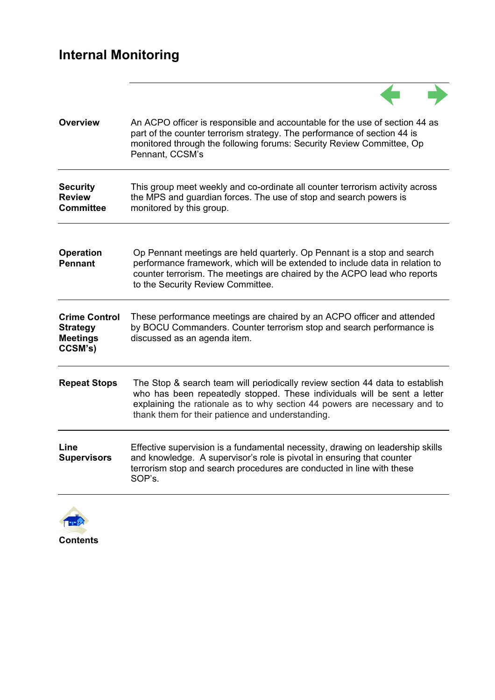| <b>Overview</b>                                                       | An ACPO officer is responsible and accountable for the use of section 44 as<br>part of the counter terrorism strategy. The performance of section 44 is<br>monitored through the following forums: Security Review Committee, Op<br>Pennant, CCSM's                                       |
|-----------------------------------------------------------------------|-------------------------------------------------------------------------------------------------------------------------------------------------------------------------------------------------------------------------------------------------------------------------------------------|
| <b>Security</b><br><b>Review</b><br><b>Committee</b>                  | This group meet weekly and co-ordinate all counter terrorism activity across<br>the MPS and guardian forces. The use of stop and search powers is<br>monitored by this group.                                                                                                             |
| <b>Operation</b><br><b>Pennant</b>                                    | Op Pennant meetings are held quarterly. Op Pennant is a stop and search<br>performance framework, which will be extended to include data in relation to<br>counter terrorism. The meetings are chaired by the ACPO lead who reports<br>to the Security Review Committee.                  |
| <b>Crime Control</b><br><b>Strategy</b><br><b>Meetings</b><br>CCSM's) | These performance meetings are chaired by an ACPO officer and attended<br>by BOCU Commanders. Counter terrorism stop and search performance is<br>discussed as an agenda item.                                                                                                            |
| <b>Repeat Stops</b>                                                   | The Stop & search team will periodically review section 44 data to establish<br>who has been repeatedly stopped. These individuals will be sent a letter<br>explaining the rationale as to why section 44 powers are necessary and to<br>thank them for their patience and understanding. |
| Line<br><b>Supervisors</b>                                            | Effective supervision is a fundamental necessity, drawing on leadership skills<br>and knowledge. A supervisor's role is pivotal in ensuring that counter<br>terrorism stop and search procedures are conducted in line with these<br>SOP's.                                               |

 $\leftarrow$ 

 $\rightarrow$ 

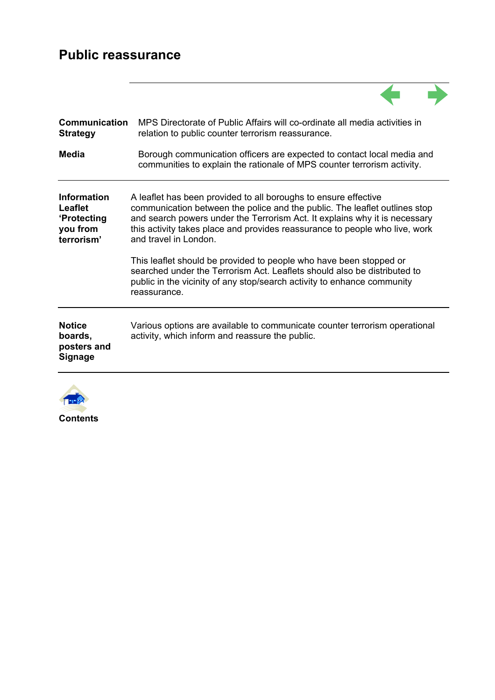## **Public reassurance**

| Communication<br><b>Strategy</b>                                              | MPS Directorate of Public Affairs will co-ordinate all media activities in<br>relation to public counter terrorism reassurance.                                                                                                                                                                                                     |
|-------------------------------------------------------------------------------|-------------------------------------------------------------------------------------------------------------------------------------------------------------------------------------------------------------------------------------------------------------------------------------------------------------------------------------|
| Media                                                                         | Borough communication officers are expected to contact local media and<br>communities to explain the rationale of MPS counter terrorism activity.                                                                                                                                                                                   |
| <b>Information</b><br>Leaflet<br><b>'Protecting</b><br>you from<br>terrorism' | A leaflet has been provided to all boroughs to ensure effective<br>communication between the police and the public. The leaflet outlines stop<br>and search powers under the Terrorism Act. It explains why it is necessary<br>this activity takes place and provides reassurance to people who live, work<br>and travel in London. |
|                                                                               | This leaflet should be provided to people who have been stopped or<br>searched under the Terrorism Act. Leaflets should also be distributed to<br>public in the vicinity of any stop/search activity to enhance community<br>reassurance.                                                                                           |
| <b>Notice</b><br>boards,<br>posters and<br><b>Signage</b>                     | Various options are available to communicate counter terrorism operational<br>activity, which inform and reassure the public.                                                                                                                                                                                                       |
|                                                                               |                                                                                                                                                                                                                                                                                                                                     |



**Contents**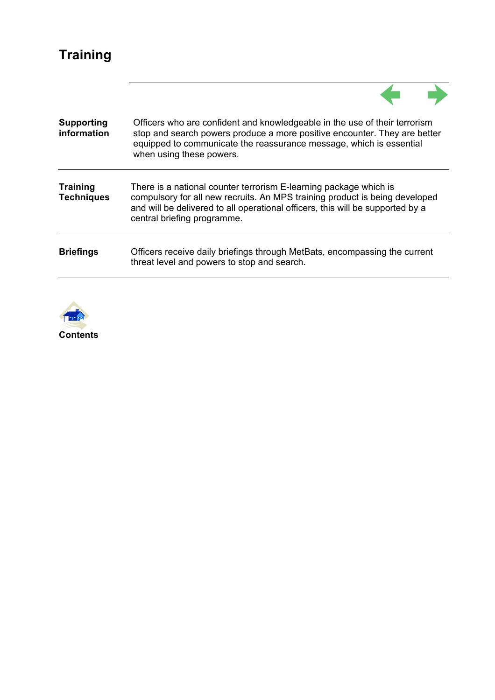# **Training**

| <b>Supporting</b><br>information     | Officers who are confident and knowledgeable in the use of their terrorism<br>stop and search powers produce a more positive encounter. They are better<br>equipped to communicate the reassurance message, which is essential<br>when using these powers.        |
|--------------------------------------|-------------------------------------------------------------------------------------------------------------------------------------------------------------------------------------------------------------------------------------------------------------------|
| <b>Training</b><br><b>Techniques</b> | There is a national counter terrorism E-learning package which is<br>compulsory for all new recruits. An MPS training product is being developed<br>and will be delivered to all operational officers, this will be supported by a<br>central briefing programme. |
| <b>Briefings</b>                     | Officers receive daily briefings through MetBats, encompassing the current<br>threat level and powers to stop and search.                                                                                                                                         |



**Contents**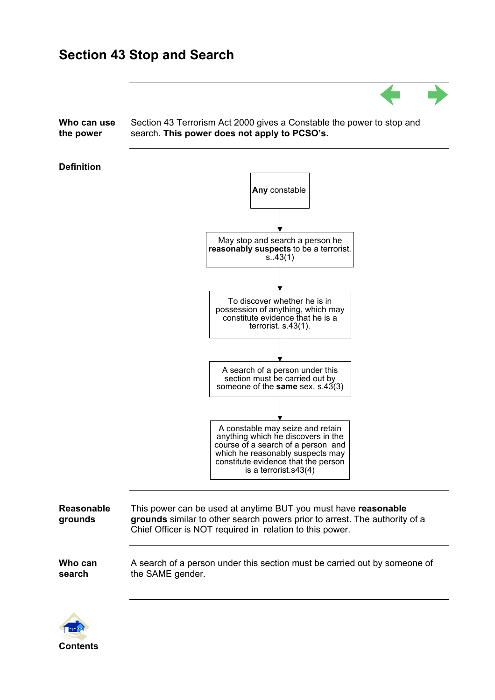### **Section 43 Stop and Search**



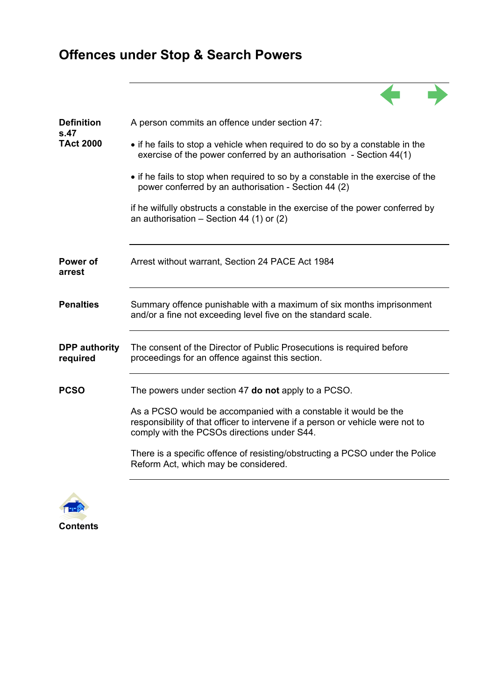# **Offences under Stop & Search Powers**

| <b>Definition</b><br>s.47        | A person commits an offence under section 47:                                                                                                                                                    |  |  |  |
|----------------------------------|--------------------------------------------------------------------------------------------------------------------------------------------------------------------------------------------------|--|--|--|
| <b>TAct 2000</b>                 | • if he fails to stop a vehicle when required to do so by a constable in the<br>exercise of the power conferred by an authorisation - Section 44(1)                                              |  |  |  |
|                                  | • if he fails to stop when required to so by a constable in the exercise of the<br>power conferred by an authorisation - Section 44 (2)                                                          |  |  |  |
|                                  | if he wilfully obstructs a constable in the exercise of the power conferred by<br>an authorisation $-$ Section 44 (1) or (2)                                                                     |  |  |  |
| Power of<br>arrest               | Arrest without warrant, Section 24 PACE Act 1984                                                                                                                                                 |  |  |  |
| <b>Penalties</b>                 | Summary offence punishable with a maximum of six months imprisonment<br>and/or a fine not exceeding level five on the standard scale.                                                            |  |  |  |
| <b>DPP</b> authority<br>required | The consent of the Director of Public Prosecutions is required before<br>proceedings for an offence against this section.                                                                        |  |  |  |
| <b>PCSO</b>                      | The powers under section 47 do not apply to a PCSO.                                                                                                                                              |  |  |  |
|                                  | As a PCSO would be accompanied with a constable it would be the<br>responsibility of that officer to intervene if a person or vehicle were not to<br>comply with the PCSOs directions under S44. |  |  |  |
|                                  | There is a specific offence of resisting/obstructing a PCSO under the Police<br>Reform Act, which may be considered.                                                                             |  |  |  |
|                                  |                                                                                                                                                                                                  |  |  |  |

 $\overrightarrow{a}$ 

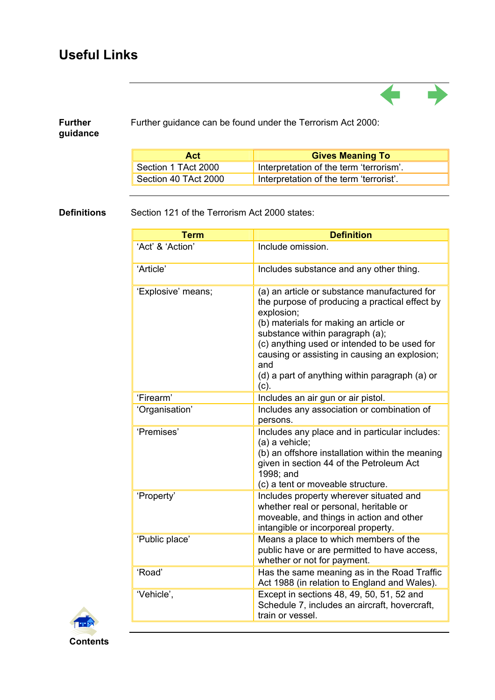# **Useful Links**

| <b>Further</b><br>guidance | Further guidance can be found under the Terrorism Act 2000: |                                                                                                                                                                                                                   |  |  |
|----------------------------|-------------------------------------------------------------|-------------------------------------------------------------------------------------------------------------------------------------------------------------------------------------------------------------------|--|--|
|                            | <b>Act</b>                                                  | <b>Gives Meaning To</b>                                                                                                                                                                                           |  |  |
|                            | Section 1 TAct 2000                                         | Interpretation of the term 'terrorism'.                                                                                                                                                                           |  |  |
|                            | Section 40 TAct 2000                                        | Interpretation of the term 'terrorist'.                                                                                                                                                                           |  |  |
|                            | Section 121 of the Terrorism Act 2000 states:               |                                                                                                                                                                                                                   |  |  |
|                            | <b>Term</b>                                                 | <b>Definition</b>                                                                                                                                                                                                 |  |  |
|                            | 'Act' & 'Action'                                            | Include omission.                                                                                                                                                                                                 |  |  |
|                            | 'Article'                                                   | Includes substance and any other thing.                                                                                                                                                                           |  |  |
|                            | 'Explosive' means;                                          | (a) an article or substance manufactured for<br>the purpose of producing a practical effect by<br>explosion;<br>(b) materials for making an article or<br>substance within paragraph (a);                         |  |  |
|                            |                                                             | (c) anything used or intended to be used for<br>causing or assisting in causing an explosion;<br>and<br>(d) a part of anything within paragraph (a) or                                                            |  |  |
|                            |                                                             | (c).                                                                                                                                                                                                              |  |  |
|                            | 'Firearm'                                                   | Includes an air gun or air pistol.                                                                                                                                                                                |  |  |
|                            | 'Organisation'                                              | Includes any association or combination of<br>persons.                                                                                                                                                            |  |  |
|                            | 'Premises'                                                  | Includes any place and in particular includes:<br>(a) a vehicle;<br>(b) an offshore installation within the meaning<br>given in section 44 of the Petroleum Act<br>1998; and<br>(c) a tent or moveable structure. |  |  |
|                            | 'Property'                                                  | Includes property wherever situated and<br>whether real or personal, heritable or<br>moveable, and things in action and other<br>intangible or incorporeal property.                                              |  |  |
|                            | 'Public place'                                              | Means a place to which members of the<br>public have or are permitted to have access,<br>whether or not for payment.                                                                                              |  |  |
|                            | 'Road'                                                      | Has the same meaning as in the Road Traffic<br>Act 1988 (in relation to England and Wales).                                                                                                                       |  |  |
|                            | 'Vehicle',                                                  | Except in sections 48, 49, 50, 51, 52 and<br>Schedule 7, includes an aircraft, hovercraft,<br>train or vessel.                                                                                                    |  |  |

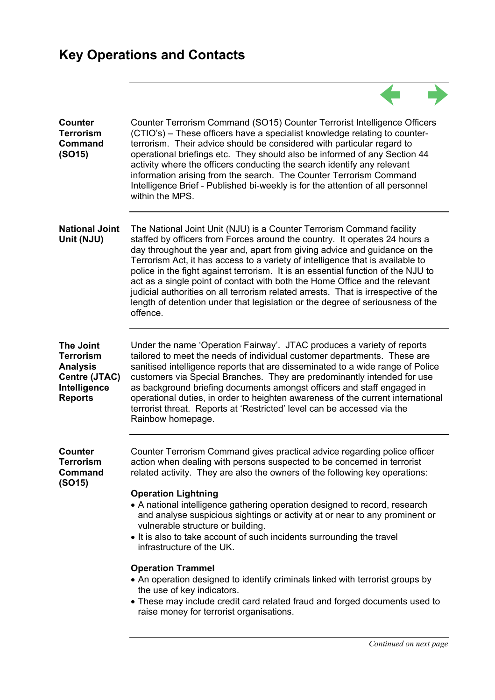### **Key Operations and Contacts**

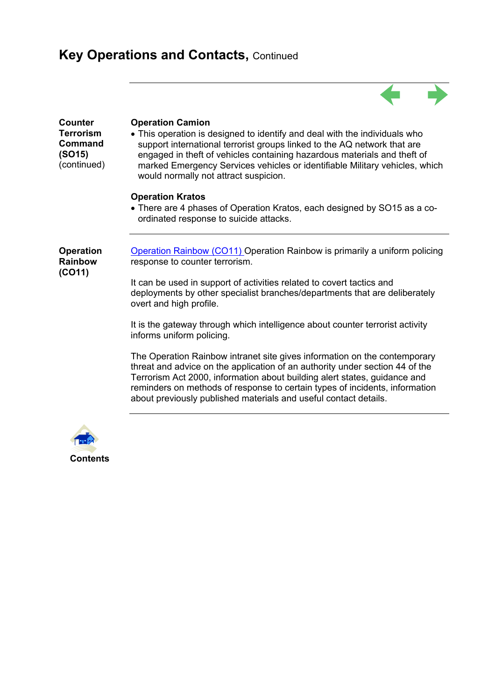# **Key Operations and Contacts, Continued**

| Counter<br><b>Terrorism</b><br>Command<br>(SO15)<br>(continued) | <b>Operation Camion</b><br>• This operation is designed to identify and deal with the individuals who<br>support international terrorist groups linked to the AQ network that are<br>engaged in theft of vehicles containing hazardous materials and theft of<br>marked Emergency Services vehicles or identifiable Military vehicles, which<br>would normally not attract suspicion.     |
|-----------------------------------------------------------------|-------------------------------------------------------------------------------------------------------------------------------------------------------------------------------------------------------------------------------------------------------------------------------------------------------------------------------------------------------------------------------------------|
|                                                                 | <b>Operation Kratos</b><br>• There are 4 phases of Operation Kratos, each designed by SO15 as a co-<br>ordinated response to suicide attacks.                                                                                                                                                                                                                                             |
| <b>Operation</b><br><b>Rainbow</b><br>(CO11)                    | <b>Operation Rainbow (CO11)</b> Operation Rainbow is primarily a uniform policing<br>response to counter terrorism.                                                                                                                                                                                                                                                                       |
|                                                                 | It can be used in support of activities related to covert tactics and<br>deployments by other specialist branches/departments that are deliberately<br>overt and high profile.                                                                                                                                                                                                            |
|                                                                 | It is the gateway through which intelligence about counter terrorist activity<br>informs uniform policing.                                                                                                                                                                                                                                                                                |
|                                                                 | The Operation Rainbow intranet site gives information on the contemporary<br>threat and advice on the application of an authority under section 44 of the<br>Terrorism Act 2000, information about building alert states, guidance and<br>reminders on methods of response to certain types of incidents, information<br>about previously published materials and useful contact details. |
|                                                                 |                                                                                                                                                                                                                                                                                                                                                                                           |

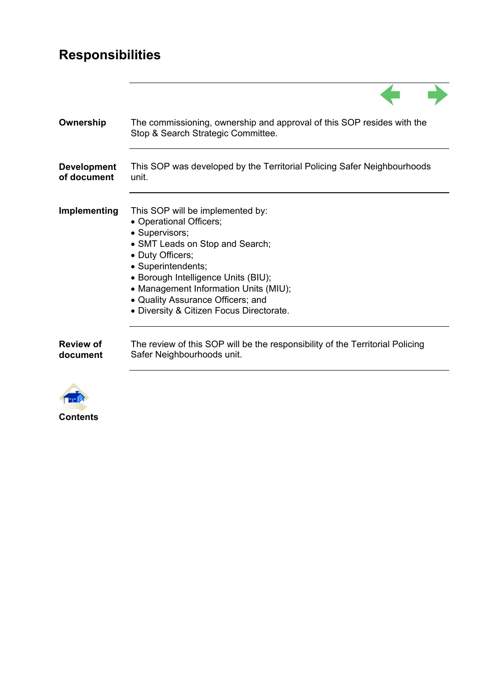# **Responsibilities**

| Ownership                         | The commissioning, ownership and approval of this SOP resides with the<br>Stop & Search Strategic Committee.                                                                                                                                                                                                                |
|-----------------------------------|-----------------------------------------------------------------------------------------------------------------------------------------------------------------------------------------------------------------------------------------------------------------------------------------------------------------------------|
| <b>Development</b><br>of document | This SOP was developed by the Territorial Policing Safer Neighbourhoods<br>unit.                                                                                                                                                                                                                                            |
| Implementing                      | This SOP will be implemented by:<br>• Operational Officers;<br>• Supervisors;<br>• SMT Leads on Stop and Search;<br>• Duty Officers;<br>• Superintendents;<br>• Borough Intelligence Units (BIU);<br>• Management Information Units (MIU);<br>• Quality Assurance Officers; and<br>• Diversity & Citizen Focus Directorate. |
| <b>Review of</b><br>document      | The review of this SOP will be the responsibility of the Territorial Policing<br>Safer Neighbourhoods unit.                                                                                                                                                                                                                 |
|                                   |                                                                                                                                                                                                                                                                                                                             |

 $\blacktriangle$ 

 $\blacktriangleright$ 



**Contents**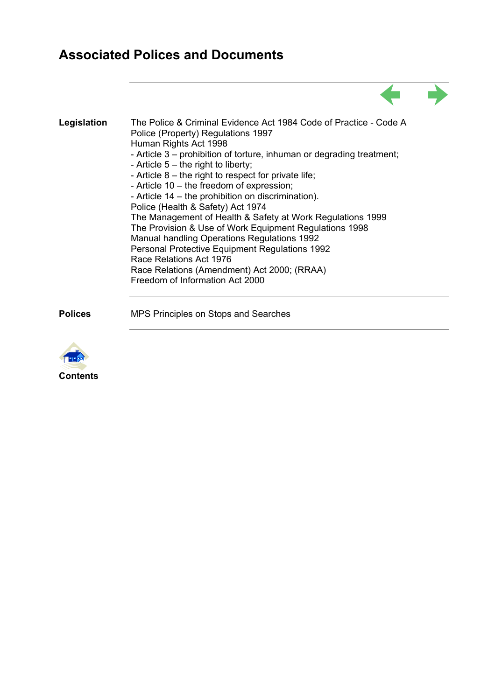## **Associated Polices and Documents**

| Legislation | The Police & Criminal Evidence Act 1984 Code of Practice - Code A<br>Police (Property) Regulations 1997<br>Human Rights Act 1998<br>- Article 3 – prohibition of torture, inhuman or degrading treatment;<br>- Article $5$ – the right to liberty;<br>- Article $8$ – the right to respect for private life;<br>- Article 10 – the freedom of expression;<br>- Article 14 – the prohibition on discrimination).<br>Police (Health & Safety) Act 1974<br>The Management of Health & Safety at Work Regulations 1999<br>The Provision & Use of Work Equipment Regulations 1998<br>Manual handling Operations Regulations 1992<br>Personal Protective Equipment Regulations 1992<br>Race Relations Act 1976<br>Race Relations (Amendment) Act 2000; (RRAA)<br>Freedom of Information Act 2000 |  |
|-------------|--------------------------------------------------------------------------------------------------------------------------------------------------------------------------------------------------------------------------------------------------------------------------------------------------------------------------------------------------------------------------------------------------------------------------------------------------------------------------------------------------------------------------------------------------------------------------------------------------------------------------------------------------------------------------------------------------------------------------------------------------------------------------------------------|--|

 $\blacktriangle$ 

**Polices** MPS Principles on Stops and Searches